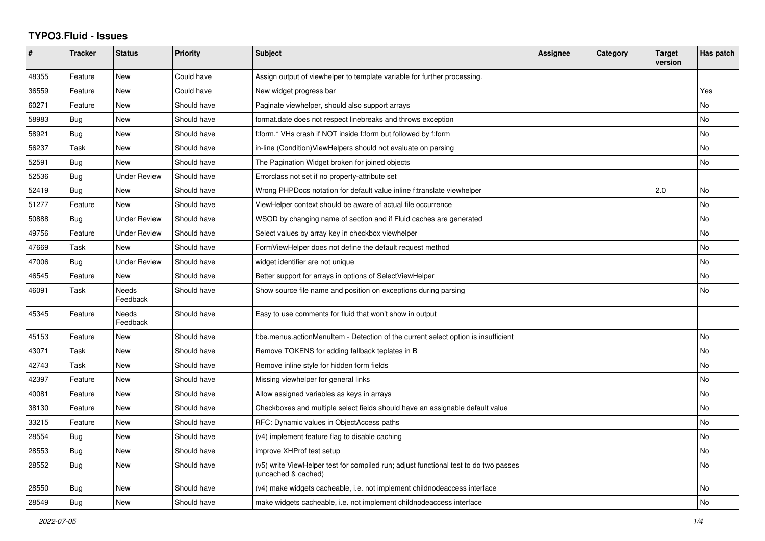## **TYPO3.Fluid - Issues**

| #     | <b>Tracker</b> | <b>Status</b>            | Priority    | Subject                                                                                                     | Assignee | Category | <b>Target</b><br>version | Has patch |
|-------|----------------|--------------------------|-------------|-------------------------------------------------------------------------------------------------------------|----------|----------|--------------------------|-----------|
| 48355 | Feature        | <b>New</b>               | Could have  | Assign output of viewhelper to template variable for further processing.                                    |          |          |                          |           |
| 36559 | Feature        | New                      | Could have  | New widget progress bar                                                                                     |          |          |                          | Yes       |
| 60271 | Feature        | <b>New</b>               | Should have | Paginate viewhelper, should also support arrays                                                             |          |          |                          | No        |
| 58983 | Bug            | <b>New</b>               | Should have | format.date does not respect linebreaks and throws exception                                                |          |          |                          | <b>No</b> |
| 58921 | Bug            | New                      | Should have | f:form.* VHs crash if NOT inside f:form but followed by f:form                                              |          |          |                          | No        |
| 56237 | Task           | New                      | Should have | in-line (Condition) View Helpers should not evaluate on parsing                                             |          |          |                          | No        |
| 52591 | <b>Bug</b>     | New                      | Should have | The Pagination Widget broken for joined objects                                                             |          |          |                          | No        |
| 52536 | Bug            | <b>Under Review</b>      | Should have | Errorclass not set if no property-attribute set                                                             |          |          |                          |           |
| 52419 | Bug            | <b>New</b>               | Should have | Wrong PHPDocs notation for default value inline f:translate viewhelper                                      |          |          | 2.0                      | <b>No</b> |
| 51277 | Feature        | <b>New</b>               | Should have | ViewHelper context should be aware of actual file occurrence                                                |          |          |                          | No        |
| 50888 | Bug            | <b>Under Review</b>      | Should have | WSOD by changing name of section and if Fluid caches are generated                                          |          |          |                          | No        |
| 49756 | Feature        | <b>Under Review</b>      | Should have | Select values by array key in checkbox viewhelper                                                           |          |          |                          | No        |
| 47669 | Task           | <b>New</b>               | Should have | FormViewHelper does not define the default request method                                                   |          |          |                          | No        |
| 47006 | Bug            | <b>Under Review</b>      | Should have | widget identifier are not unique                                                                            |          |          |                          | <b>No</b> |
| 46545 | Feature        | New                      | Should have | Better support for arrays in options of SelectViewHelper                                                    |          |          |                          | No        |
| 46091 | Task           | <b>Needs</b><br>Feedback | Should have | Show source file name and position on exceptions during parsing                                             |          |          |                          | No        |
| 45345 | Feature        | <b>Needs</b><br>Feedback | Should have | Easy to use comments for fluid that won't show in output                                                    |          |          |                          |           |
| 45153 | Feature        | <b>New</b>               | Should have | f:be.menus.actionMenuItem - Detection of the current select option is insufficient                          |          |          |                          | <b>No</b> |
| 43071 | Task           | New                      | Should have | Remove TOKENS for adding fallback teplates in B                                                             |          |          |                          | No        |
| 42743 | Task           | New                      | Should have | Remove inline style for hidden form fields                                                                  |          |          |                          | No        |
| 42397 | Feature        | <b>New</b>               | Should have | Missing viewhelper for general links                                                                        |          |          |                          | <b>No</b> |
| 40081 | Feature        | <b>New</b>               | Should have | Allow assigned variables as keys in arrays                                                                  |          |          |                          | <b>No</b> |
| 38130 | Feature        | New                      | Should have | Checkboxes and multiple select fields should have an assignable default value                               |          |          |                          | No        |
| 33215 | Feature        | New                      | Should have | RFC: Dynamic values in ObjectAccess paths                                                                   |          |          |                          | No        |
| 28554 | Bug            | <b>New</b>               | Should have | (v4) implement feature flag to disable caching                                                              |          |          |                          | No        |
| 28553 | Bug            | New                      | Should have | improve XHProf test setup                                                                                   |          |          |                          | No        |
| 28552 | Bug            | New                      | Should have | (v5) write ViewHelper test for compiled run; adjust functional test to do two passes<br>(uncached & cached) |          |          |                          | <b>No</b> |
| 28550 | Bug            | New                      | Should have | (v4) make widgets cacheable, i.e. not implement childnodeaccess interface                                   |          |          |                          | No        |
| 28549 | <b>Bug</b>     | New                      | Should have | make widgets cacheable, i.e. not implement childnodeaccess interface                                        |          |          |                          | No        |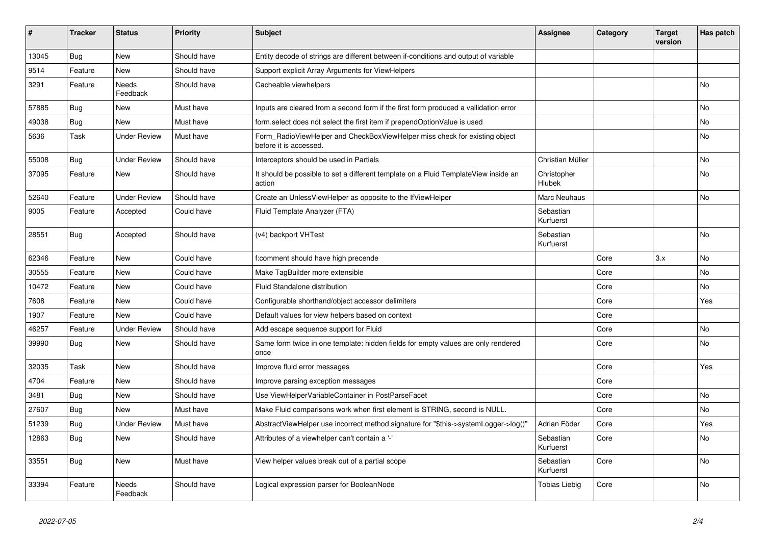| #     | <b>Tracker</b> | <b>Status</b>       | <b>Priority</b> | <b>Subject</b>                                                                                       | <b>Assignee</b>        | Category | <b>Target</b><br>version | Has patch |
|-------|----------------|---------------------|-----------------|------------------------------------------------------------------------------------------------------|------------------------|----------|--------------------------|-----------|
| 13045 | <b>Bug</b>     | <b>New</b>          | Should have     | Entity decode of strings are different between if-conditions and output of variable                  |                        |          |                          |           |
| 9514  | Feature        | New                 | Should have     | Support explicit Array Arguments for ViewHelpers                                                     |                        |          |                          |           |
| 3291  | Feature        | Needs<br>Feedback   | Should have     | Cacheable viewhelpers                                                                                |                        |          |                          | <b>No</b> |
| 57885 | Bug            | New                 | Must have       | Inputs are cleared from a second form if the first form produced a vallidation error                 |                        |          |                          | <b>No</b> |
| 49038 | <b>Bug</b>     | <b>New</b>          | Must have       | form.select does not select the first item if prependOptionValue is used                             |                        |          |                          | No        |
| 5636  | Task           | <b>Under Review</b> | Must have       | Form RadioViewHelper and CheckBoxViewHelper miss check for existing object<br>before it is accessed. |                        |          |                          | <b>No</b> |
| 55008 | <b>Bug</b>     | <b>Under Review</b> | Should have     | Interceptors should be used in Partials                                                              | Christian Müller       |          |                          | No        |
| 37095 | Feature        | New                 | Should have     | It should be possible to set a different template on a Fluid TemplateView inside an<br>action        | Christopher<br>Hlubek  |          |                          | No        |
| 52640 | Feature        | Under Review        | Should have     | Create an UnlessViewHelper as opposite to the IfViewHelper                                           | Marc Neuhaus           |          |                          | No        |
| 9005  | Feature        | Accepted            | Could have      | Fluid Template Analyzer (FTA)                                                                        | Sebastian<br>Kurfuerst |          |                          |           |
| 28551 | Bug            | Accepted            | Should have     | (v4) backport VHTest                                                                                 | Sebastian<br>Kurfuerst |          |                          | <b>No</b> |
| 62346 | Feature        | <b>New</b>          | Could have      | f:comment should have high precende                                                                  |                        | Core     | 3.x                      | <b>No</b> |
| 30555 | Feature        | New                 | Could have      | Make TagBuilder more extensible                                                                      |                        | Core     |                          | <b>No</b> |
| 10472 | Feature        | <b>New</b>          | Could have      | Fluid Standalone distribution                                                                        |                        | Core     |                          | <b>No</b> |
| 7608  | Feature        | New                 | Could have      | Configurable shorthand/object accessor delimiters                                                    |                        | Core     |                          | Yes       |
| 1907  | Feature        | <b>New</b>          | Could have      | Default values for view helpers based on context                                                     |                        | Core     |                          |           |
| 46257 | Feature        | Under Review        | Should have     | Add escape sequence support for Fluid                                                                |                        | Core     |                          | <b>No</b> |
| 39990 | Bug            | New                 | Should have     | Same form twice in one template: hidden fields for empty values are only rendered<br>once            |                        | Core     |                          | <b>No</b> |
| 32035 | Task           | New                 | Should have     | Improve fluid error messages                                                                         |                        | Core     |                          | Yes       |
| 4704  | Feature        | <b>New</b>          | Should have     | Improve parsing exception messages                                                                   |                        | Core     |                          |           |
| 3481  | Bug            | <b>New</b>          | Should have     | Use ViewHelperVariableContainer in PostParseFacet                                                    |                        | Core     |                          | <b>No</b> |
| 27607 | <b>Bug</b>     | New                 | Must have       | Make Fluid comparisons work when first element is STRING, second is NULL.                            |                        | Core     |                          | No        |
| 51239 | Bug            | <b>Under Review</b> | Must have       | AbstractViewHelper use incorrect method signature for "\$this->systemLogger->log()"                  | Adrian Föder           | Core     |                          | Yes       |
| 12863 | <b>Bug</b>     | <b>New</b>          | Should have     | Attributes of a viewhelper can't contain a '-'                                                       | Sebastian<br>Kurfuerst | Core     |                          | No        |
| 33551 | Bug            | New                 | Must have       | View helper values break out of a partial scope                                                      | Sebastian<br>Kurfuerst | Core     |                          | <b>No</b> |
| 33394 | Feature        | Needs<br>Feedback   | Should have     | Logical expression parser for BooleanNode                                                            | Tobias Liebig          | Core     |                          | No        |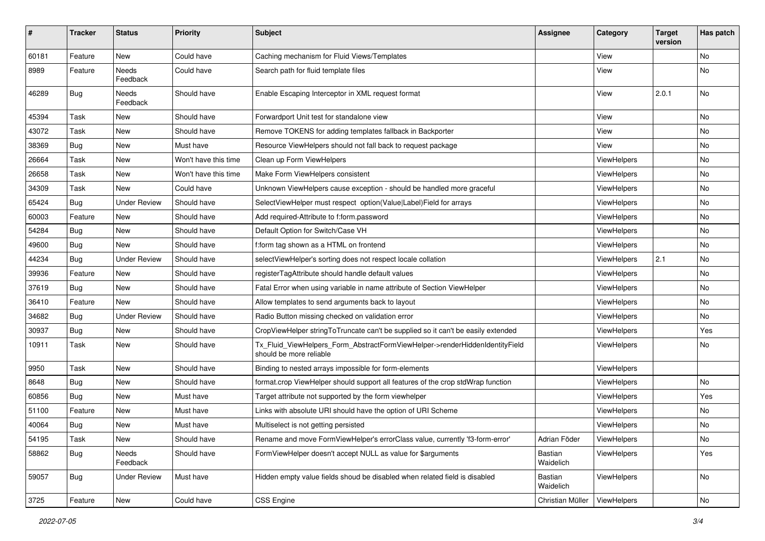| #     | <b>Tracker</b> | <b>Status</b>       | <b>Priority</b>      | <b>Subject</b>                                                                                         | <b>Assignee</b>      | Category           | <b>Target</b><br>version | Has patch |
|-------|----------------|---------------------|----------------------|--------------------------------------------------------------------------------------------------------|----------------------|--------------------|--------------------------|-----------|
| 60181 | Feature        | <b>New</b>          | Could have           | Caching mechanism for Fluid Views/Templates                                                            |                      | View               |                          | <b>No</b> |
| 8989  | Feature        | Needs<br>Feedback   | Could have           | Search path for fluid template files                                                                   |                      | View               |                          | No        |
| 46289 | Bug            | Needs<br>Feedback   | Should have          | Enable Escaping Interceptor in XML request format                                                      |                      | View               | 2.0.1                    | No        |
| 45394 | Task           | New                 | Should have          | Forwardport Unit test for standalone view                                                              |                      | View               |                          | No        |
| 43072 | Task           | New                 | Should have          | Remove TOKENS for adding templates fallback in Backporter                                              |                      | View               |                          | No        |
| 38369 | Bug            | New                 | Must have            | Resource ViewHelpers should not fall back to request package                                           |                      | View               |                          | No        |
| 26664 | Task           | New                 | Won't have this time | Clean up Form ViewHelpers                                                                              |                      | ViewHelpers        |                          | No        |
| 26658 | Task           | New                 | Won't have this time | Make Form ViewHelpers consistent                                                                       |                      | ViewHelpers        |                          | No        |
| 34309 | Task           | <b>New</b>          | Could have           | Unknown ViewHelpers cause exception - should be handled more graceful                                  |                      | ViewHelpers        |                          | No.       |
| 65424 | Bug            | <b>Under Review</b> | Should have          | SelectViewHelper must respect option(Value Label)Field for arrays                                      |                      | ViewHelpers        |                          | No        |
| 60003 | Feature        | New                 | Should have          | Add required-Attribute to f:form.password                                                              |                      | ViewHelpers        |                          | No        |
| 54284 | Bug            | New                 | Should have          | Default Option for Switch/Case VH                                                                      |                      | ViewHelpers        |                          | No        |
| 49600 | Bug            | New                 | Should have          | f:form tag shown as a HTML on frontend                                                                 |                      | ViewHelpers        |                          | No        |
| 44234 | <b>Bug</b>     | <b>Under Review</b> | Should have          | selectViewHelper's sorting does not respect locale collation                                           |                      | <b>ViewHelpers</b> | 2.1                      | No        |
| 39936 | Feature        | New                 | Should have          | registerTagAttribute should handle default values                                                      |                      | ViewHelpers        |                          | No        |
| 37619 | <b>Bug</b>     | New                 | Should have          | Fatal Error when using variable in name attribute of Section ViewHelper                                |                      | ViewHelpers        |                          | No        |
| 36410 | Feature        | New                 | Should have          | Allow templates to send arguments back to layout                                                       |                      | ViewHelpers        |                          | No        |
| 34682 | <b>Bug</b>     | <b>Under Review</b> | Should have          | Radio Button missing checked on validation error                                                       |                      | ViewHelpers        |                          | No        |
| 30937 | <b>Bug</b>     | New                 | Should have          | CropViewHelper stringToTruncate can't be supplied so it can't be easily extended                       |                      | ViewHelpers        |                          | Yes       |
| 10911 | Task           | New                 | Should have          | Tx_Fluid_ViewHelpers_Form_AbstractFormViewHelper->renderHiddenIdentityField<br>should be more reliable |                      | ViewHelpers        |                          | No        |
| 9950  | Task           | <b>New</b>          | Should have          | Binding to nested arrays impossible for form-elements                                                  |                      | ViewHelpers        |                          |           |
| 8648  | <b>Bug</b>     | New                 | Should have          | format.crop ViewHelper should support all features of the crop stdWrap function                        |                      | ViewHelpers        |                          | No        |
| 60856 | Bug            | New                 | Must have            | Target attribute not supported by the form viewhelper                                                  |                      | ViewHelpers        |                          | Yes       |
| 51100 | Feature        | New                 | Must have            | Links with absolute URI should have the option of URI Scheme                                           |                      | ViewHelpers        |                          | No        |
| 40064 | <b>Bug</b>     | New                 | Must have            | Multiselect is not getting persisted                                                                   |                      | ViewHelpers        |                          | No.       |
| 54195 | Task           | New                 | Should have          | Rename and move FormViewHelper's errorClass value, currently 'f3-form-error'                           | Adrian Föder         | ViewHelpers        |                          | No        |
| 58862 | Bug            | Needs<br>Feedback   | Should have          | FormViewHelper doesn't accept NULL as value for \$arguments                                            | Bastian<br>Waidelich | ViewHelpers        |                          | Yes       |
| 59057 | <b>Bug</b>     | <b>Under Review</b> | Must have            | Hidden empty value fields shoud be disabled when related field is disabled                             | Bastian<br>Waidelich | ViewHelpers        |                          | No        |
| 3725  | Feature        | New                 | Could have           | <b>CSS Engine</b>                                                                                      | Christian Müller     | ViewHelpers        |                          | No        |